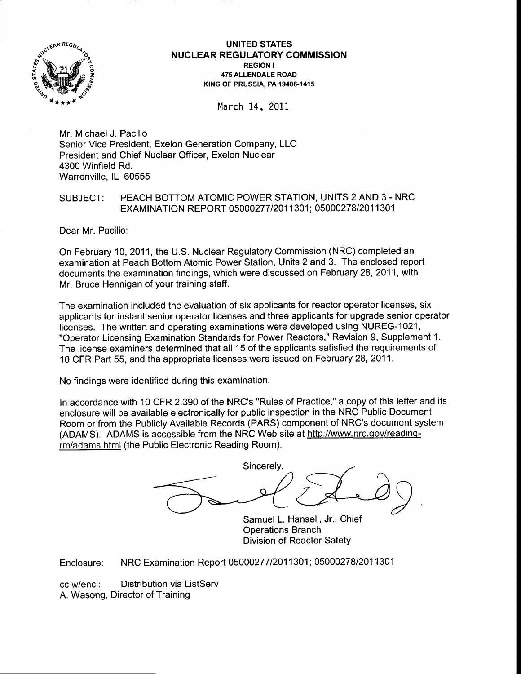

### UNITED STATES **NUCLEAR REGULATORY COMMISSION** REGION <sup>I</sup> 475 ALLENDALE ROAD KING OF PRUSSIA. PA 19406-1415

March 14, 2011

Mr. Michael J. Pacilio Senior Vice President, Exelon Generation Company, LLC President and Chief Nuclear Officer, Exelon Nuclear 4300 Winfield Rd. Warrenville, lL 60555

# SUBJECT: PEACH BOTTOM ATOMIC POWER STATION, UNITS 2 AND 3 - NRC EXAMINATION REPORT 05000277/2011301; 05000278/2011301

Dear Mr. Pacilio:

On February 10, 2011, the U.S. Nuclear Regulatory Commission (NRC) completed an examination at Peach Bottom Atomic Power Station, Units 2 and 3. The enclosed report documents the examination findings, which were discussed on February 28,2011, with Mr. Bruce Hennigan of your training staff.

The examination included the evaluation of six applicants for reactor operator licenses, six applicants for instant senior operator licenses and three applicants for upgrade senior operator licenses. The written and operating examinations were developed using NUREG-1021, "Operator Licensing Examination Standards for Power Reactors," Revision 9, Supplement 1. The license examiners determined that all 15 of the applicants satisfied the requirements of 10 CFR Part 55, and the appropriate licenses were issued on February 28, 2Q11.

No findings were identified during this examination.

ln accordance with 10 CFR 2.390 of the NRC's "Rules of Practice," a copy of this letter and its enclosure will be available electronically for public inspection in the NRC Public Document Room or from the Publicly Available Records (PARS) component of NRC's document system (ADAMS). ADAMS is accessible from the NRC Web site at http://www.nrc.oov/readinqrm/adams.html (the Public Electronic Reading Room).

 $\sum_{\text{ansell. Jr. Chief}}$ Sincerely,

Samuel L. Hansell, Jr., Chief Operations Branch Division of Reactor Safety

Enclosure: NRC Examination Report 05000277/2011301; 05000278/2011301

cc w/encl: Distribution via ListServ A. Wasong, Director of Training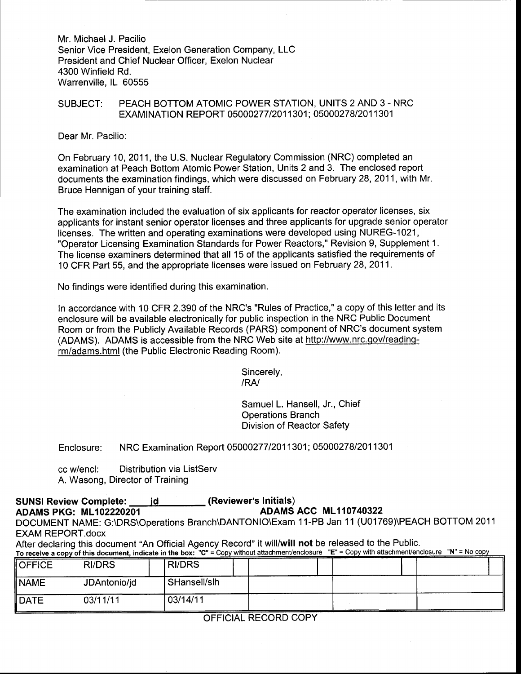Mr. Michael J. Pacilio Senior Vice President, Exelon Generation Company, LLC President and Chief Nuclear Officer, Exelon Nuclear 4300 Winfield Rd. Warrenville, lL 60555

# SUBJECT: PEACH BOTTOM ATOMIC POWER STATION, UNITS 2 AND 3 - NRC EXAMINATION REPORT 05000277/2011301; 05000278/2011301

Dear Mr. Pacilio:

On February 10, 2011, the U.S. Nuclear Regulatory Commission (NRC) completed an examination at Peach Bottom Atomic Power Station, Units 2 and 3. The enclosed report documents the examination findings, which were discussed on February 28,2011, with Mr. Bruce Hennigan of your training staff.

The examination included the evaluation of six applicants for reactor operator licenses, six applicants for instant senior operator licenses and three applicants for upgrade senior operator licenses. The written and operating examinations were developed using NUREG-1021, "Operator Licensing Examination Standards for Power Reactors," Revision 9, Supplement 1, The license examiners determined that all 15 of the applicants satisfied the requirements of 10 CFR Part 55, and the appropriate licenses were issued on February 28, 2011.

No findings were identified during this examination.

ln accordance with 10 CFR 2.390 of the NRC's "Rules of Practice," a copy of this letter and its enclosure will be available electronically for public inspection in the NRC Public Document Room or from the Publicly Available Records (PARS) component of NRC's document system (ADAMS). ADAMS is accessible from the NRC Web site at http://www.nrc.qov/readinqrm/adams.html (the Public Electronic Reading Room).

> Sincerely, /RA/

Samuel L. Hansell, Jr., Chief Operations Branch Division of Reactor Safety

Enclosure: NRC Examination Report 0500027712011301; 0500027812Q11301

cc w/encl: Distribution via ListServ A. Wasong, Director of Training

### SUNSI Review Complete: id interfact (Reviewer's Initials)<br>ADAMS ACC ML110740322<br>ADAMS ACC ML110740322 ADAMS PKG: ML102220201

DOCUMENT NAME: G:\DRS\Operations Branch\DANTONIO\Exam 11-PB Jan 11 (U01769)\PEACH BOTTOM 2011

EXAM REPORT.docx<br>After declaring this document "An Official Agency Record" it will/will not be released to the Public.

| To receive a copy of this document, indicate in the box: " $G = C$ opy without attachment/enclosure"<br>$E = \text{Copy with adjacent functions}$ $\theta = \text{NQ}$ copy |               |               |  |  |  |
|-----------------------------------------------------------------------------------------------------------------------------------------------------------------------------|---------------|---------------|--|--|--|
| <b>OFFICE</b>                                                                                                                                                               | <b>RI/DRS</b> | <b>RI/DRS</b> |  |  |  |
| INAME                                                                                                                                                                       | JDAntonio/jd  | SHansell/slh  |  |  |  |
| <b>I</b> DATE                                                                                                                                                               | 03/11/11      | 03/14/11      |  |  |  |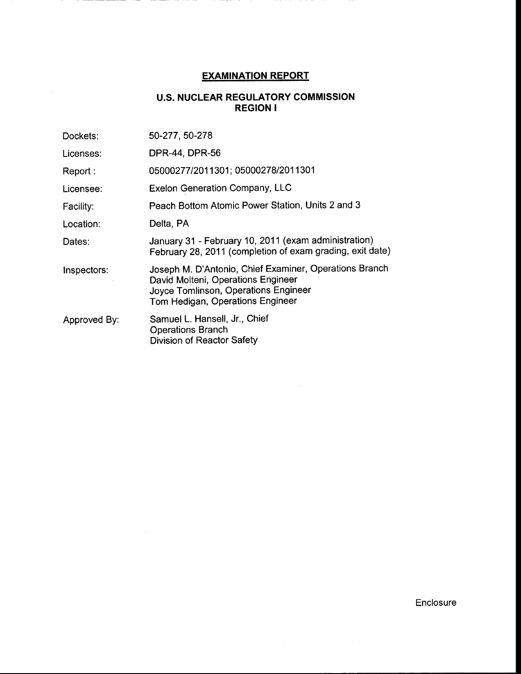# EXAMINATION REPORT

# U.S. NUCLEAR REGULATORY COMMISSION REGION <sup>I</sup>

| Dockets:     | 50-277, 50-278                                                                                                                                                           |
|--------------|--------------------------------------------------------------------------------------------------------------------------------------------------------------------------|
| Licenses:    | DPR-44, DPR-56                                                                                                                                                           |
| Report:      | 05000277/2011301; 05000278/2011301                                                                                                                                       |
| Licensee:    | <b>Exelon Generation Company, LLC</b>                                                                                                                                    |
| Facility:    | Peach Bottom Atomic Power Station, Units 2 and 3                                                                                                                         |
| Location:    | Delta, PA                                                                                                                                                                |
| Dates:       | January 31 - February 10, 2011 (exam administration)<br>February 28, 2011 (completion of exam grading, exit date)                                                        |
| Inspectors:  | Joseph M. D'Antonio, Chief Examiner, Operations Branch<br>David Molteni, Operations Engineer<br>Joyce Tomlinson, Operations Engineer<br>Tom Hedigan, Operations Engineer |
| Approved By: | Samuel L. Hansell, Jr., Chief<br><b>Operations Branch</b><br><b>Division of Reactor Safety</b>                                                                           |

Enclosure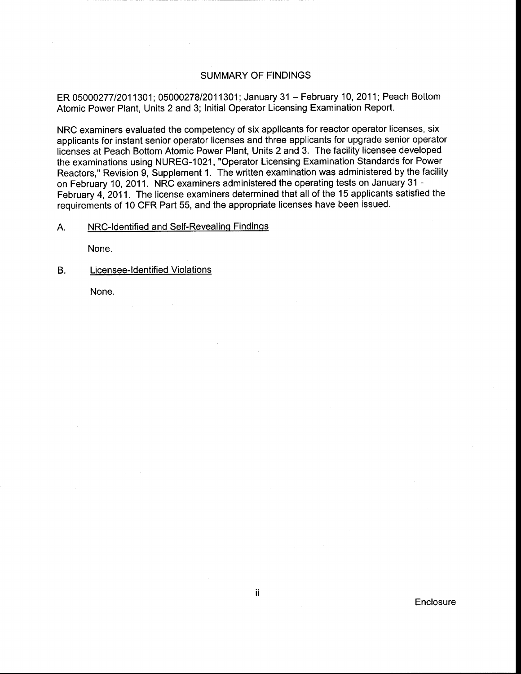## SUMMARY OF FINDINGS

ER 0500027712011301; 0500027812011301; January 31 - February 10, 2011; Peach Bottom Atomic Power Plant, Units 2 and 3; Initial Operator Licensing Examination Report.

NRC examiners evaluated the competency of six applicants for reactor operator licenses, six applicants for instant senior operator licenses and three applicants for upgrade senior operator licenses at Peach Bottom Atomic Power Plant, Units 2 and 3. The facility licensee developed the examinations using NUREG-1021, "Operator Licensing Examination Standards for Power Reactors," Revision 9, Supplement 1. The written examination was administered by the facility on February 10,2011. NRC examiners administered the operating tests on January 31 - February 4, 2011 . The license examiners determined that all of the 15 applicants satisfied the requirements of 10 CFR Part 55, and the appropriate licenses have been issued.

A. NRC-Identified and Self-Revealing Findings

None.

B. Licensee-ldentified Violations

None.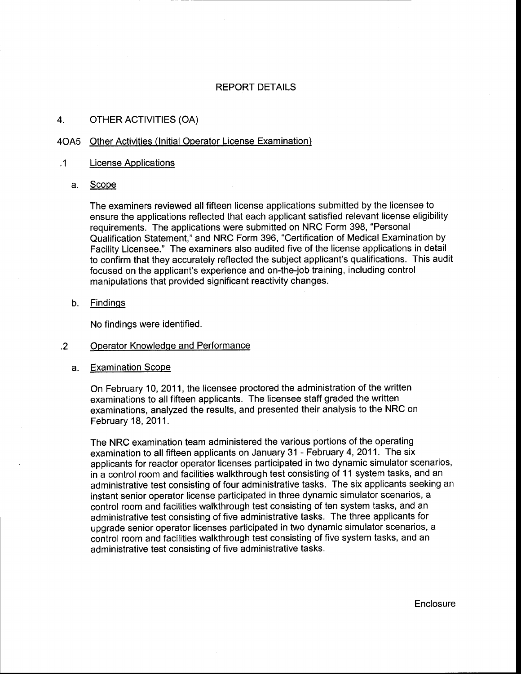### REPORT DETAILS

### 4. OTHER ACTIVITIES (OA)

### 4OA5 Other Activities (lnitial Operator License Examination)

### .1 License Applications

a. Scope

The examiners reviewed all fifteen license applications submitted by the licensee to ensure the applications reflected that each applicant satisfied relevant license eligibility requirements. The applications were submitted on NRC Form 398, "Personal Qualification Statement," and NRC Form 396, "Certification of Medical Examination by Facility Licensee." The examiners also audited five of the license applications in detail to confirm that they accurately reflected the subject applicant's qualifications. This audit focused on the applicant's experience and on-the-job training, including control manipulations that provided significant reactivity changes.

b. Findinqs

No findings were identified.

#### .2 Operator Knowledqe and Performance

Examination Scope a.

> On February 10, 2011, the licensee proctored the administration of the written examinations to all fifteen applicants. The licensee staff graded the written examinations, analyzed the results, and presented their analysis to the NRC on February 18,2011.

The NRC examination team administered the various portions of the operating examination to all fifteen applicants on January 31 - February 4,2011. The six applicants for reactor operator licenses participated in two dynamic simulator scenarios, in a control room and facilities walkthrough test consisting of 11 system tasks, and an administrative test consisting of four administrative tasks. The six applicants seeking an instant senior operator license participated in three dynamic simulator scenarios, a control room and facilities walkthrough test consisting of ten system tasks, and an administrative test consisting of five administrative tasks. The three applicants for upgrade senior operator licenses participated in two dynamic simulator scenarios, a control room and facilities walkthrough test consisting of five system tasks, and an administrative test consisting of five administrative tasks.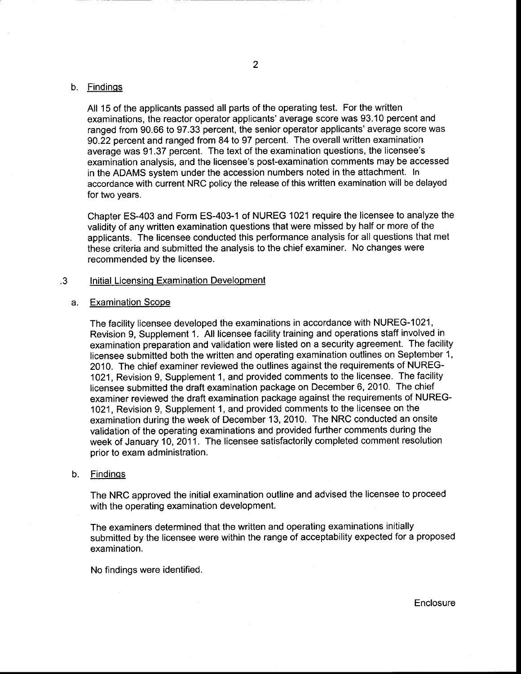### b. <u>Findings</u>

All 15 of the applicants passed all parts of the operating test. For the written examinations, the reactor operator applicants'average score was 93.10 percent and ranged from 90.66 to 97.33 percent, the senior operator applicants' average score was 90.22 percent and ranged from 84 to 97 percent. The overall written examination average was 91.37 percent. The text of the examination questions, the licensee's examination analysis, and the licensee's post-examination comments may be accessed in the ADAMS system under the accession numbers noted in the attachment. In accordance with current NRC policy the release of this written examination will be delayed for two years.

Chapter ES-403 and Form ES-403-1 of NUREG 1021 require the licensee to analyze the validity of any written examination questions that were missed by half or more of the applicants. The licensee conducted this performance analysis for all questions that met these criteria and submitted the analysis to the chief examiner. No changes were recommended by the licensee.

#### Initial Licensinq Examination Development .3

#### Examination Scope a.

The facility licensee developed the examinations in accordance with NUREG-1021, Revision 9, Supplement 1. All licensee facility training and operations staff involved in examination preparation and validation were listed on a security agreement. The facility licensee submitted both the written and operating examination outlines on September 1, 2010. The chief examiner reviewed the outlines against the requirements of NUREG-1021, Revision 9, Supplement 1, and provided comments to the licensee. The facility licensee submitted the draft examination package on December 6,2Q10. The chief examiner reviewed the draft examination package against the requirements of NUREG-<sup>1021</sup>, Revision 9, Supplement 1 , and provided comments to the licensee on the examination during the week of December 13, 2010. The NRC conducted an onsite validation of the operating examinations and provided further comments during the week of January 10,2011. The licensee satisfactorily completed comment resolution prior to exam administration.

#### Findinqs b.

The NRC approved the initial examination outline and advised the licensee to proceed with the operating examination development.

The examiners determined that the written and operating examinations initially submitted by the licensee were within the range of acceptability expected for a proposed examination.

No findings were identified.

**Enclosure**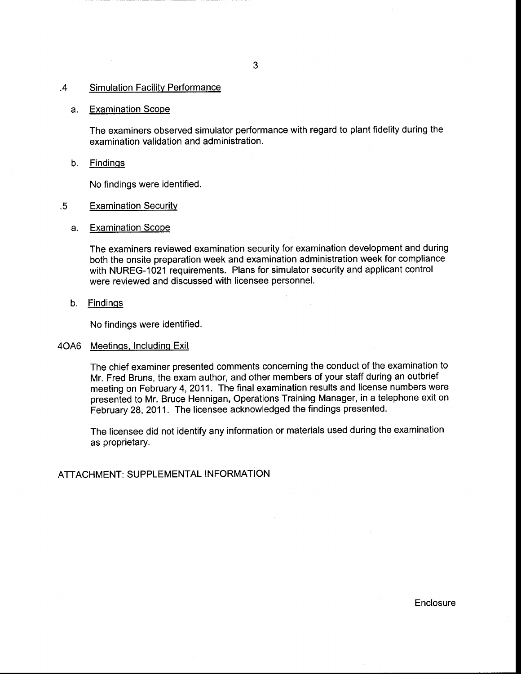#### .4 Simulation Facility Performance

#### Examination Scope a.

The examiners observed simulator performance with regard to plant fidelity during the examination validation and administration.

b. <u>Findings</u>

No findings were identified.

#### **Examination Security** .5

a. <u>Examination Scope</u>

The examiners reviewed examination security for examination development and during both the onsite preparation week and examination administration week for compliance with NUREG-1021 requirements. Plans for simulator security and applicant control were reviewed and discussed with licensee personnel.

b. <u>Findings</u>

No findings were identified.

### 4OA6 <u>Meetings, Including Exit</u>

The chief examiner presented comments concerning the conduct of the examination to Mr. Fred Bruns, the exam author, and other members of your staff during an outbrief meeting on February 4, 2011. The final examination results and license numbers were presented to Mr. Bruce Hennigan, Operations Training Manager, in a telephone exit on February 28, 2011. The licensee acknowledged the findings presented.

The licensee did not identify any information or materials used during the examination as proprietary.

### ATTACHMENT: SUPPLEMENTAL INFORMATION

Enclosure